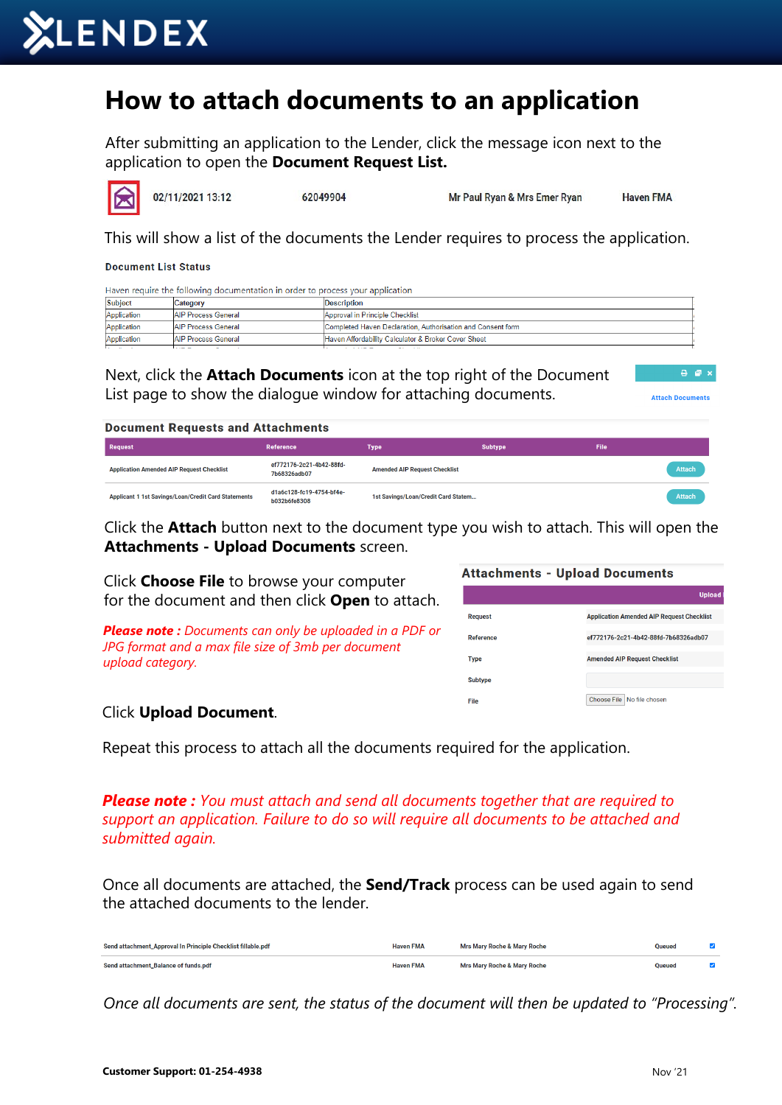

## **How to attach documents to an application**

After submitting an application to the Lender, click the message icon next to the application to open the **Document Request List.**

02/11/2021 13:12 62049904 Mr Paul Ryan & Mrs Emer Ryan **Haven FMA** 

This will show a list of the documents the Lender requires to process the application.

**Document List Status** 

Haven require the following documentation in order to process your application

| Application | <b>AIP Process General</b><br>Completed Haven Declaration, Authorisation and Consent form |                                                     |  |
|-------------|-------------------------------------------------------------------------------------------|-----------------------------------------------------|--|
| Application | <b>AIP Process General</b>                                                                | Haven Affordability Calculator & Broker Cover Sheet |  |
|             | --- -                                                                                     | .                                                   |  |

| Next, click the <b>Attach Documents</b> icon at the top right of the Document |  |
|-------------------------------------------------------------------------------|--|
| List page to show the dialogue window for attaching documents.                |  |

 $A = 1$ **Attach Documents** 

## **Document Requests and Attachments**

| Request                                                    | Reference                                | Type                                 | <b>Subtype</b> | File |        |
|------------------------------------------------------------|------------------------------------------|--------------------------------------|----------------|------|--------|
| <b>Application Amended AIP Request Checklist</b>           | ef772176-2c21-4b42-88fd-<br>7b68326adb07 | <b>Amended AIP Request Checklist</b> |                |      | Attach |
| <b>Applicant 1 1st Savings/Loan/Credit Card Statements</b> | d1a6c128-fc19-4754-bf4e-<br>b032b6fe8308 | 1st Savings/Loan/Credit Card Statem  |                |      | Attach |

Click the **Attach** button next to the document type you wish to attach. This will open the **Attachments - Upload Documents** screen.

Click **Choose File** to browse your computer for the document and then click **Open** to attach.

*Please note : Documents can only be uploaded in a PDF or JPG format and a max file size of 3mb per document upload category.*

| <b>Attachments - Upload Documents</b> |                                                  |  |  |  |
|---------------------------------------|--------------------------------------------------|--|--|--|
|                                       | <b>Upload</b>                                    |  |  |  |
| <b>Request</b>                        | <b>Application Amended AIP Request Checklist</b> |  |  |  |
| Reference                             | ef772176-2c21-4b42-88fd-7b68326adb07             |  |  |  |
| <b>Type</b>                           | <b>Amended AIP Request Checklist</b>             |  |  |  |
| <b>Subtype</b>                        |                                                  |  |  |  |
| File                                  | Choose File   No file chosen                     |  |  |  |

## Click **Upload Document**.

Repeat this process to attach all the documents required for the application.

*Please note : You must attach and send all documents together that are required to support an application. Failure to do so will require all documents to be attached and submitted again.*

Once all documents are attached, the **Send/Track** process can be used again to send the attached documents to the lender.

| Send attachment_Approval In Principle Checklist fillable.pdf | <b>Haven FMA</b> | <b>Mrs Mary Roche &amp; Mary Roche</b> | <b>Queued</b> |  |
|--------------------------------------------------------------|------------------|----------------------------------------|---------------|--|
| Send attachment_Balance of funds.pdf                         | <b>Haven FMA</b> | Mrs Mary Roche & Mary Roche            | <b>Oueued</b> |  |

*Once all documents are sent, the status of the document will then be updated to "Processing".*